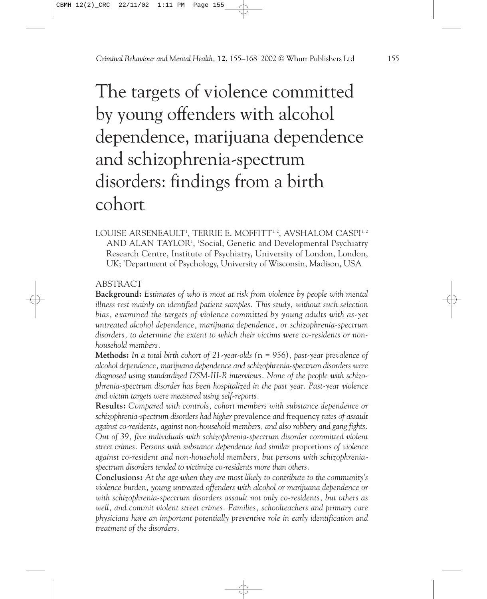# The targets of violence committed by young offenders with alcohol dependence, marijuana dependence and schizophrenia-spectrum disorders: findings from a birth cohort

LOUISE ARSENEAULT<sup>1</sup>, TERRIE E. MOFFITT<sup>1, 2</sup>, AVSHALOM CASPI<sup>1, 2</sup> AND ALAN TAYLOR<sup>1</sup>, 'Social, Genetic and Developmental Psychiatry Research Centre, Institute of Psychiatry, University of London, London, UK; 2 Department of Psychology, University of Wisconsin, Madison, USA

# ABSTRACT

**Background:** *Estimates of who is most at risk from violence by people with mental illness rest mainly on identified patient samples. This study, without such selection bias, examined the targets of violence committed by young adults with as-yet untreated alcohol dependence, marijuana dependence, or schizophrenia-spectrum disorders, to determine the extent to which their victims were co-residents or nonhousehold members.*

**Methods:** *In a total birth cohort of 21-year-olds (*n = 956)*, past-year prevalence of alcohol dependence, marijuana dependence and schizophrenia-spectrum disorders were diagnosed using standardized DSM-III-R interviews. None of the people with schizophrenia-spectrum disorder has been hospitalized in the past year. Past-year violence and victim targets were measured using self-reports.*

**Results:** *Compared with controls, cohort members with substance dependence or schizophrenia-spectrum disorders had higher* prevalence *and* frequency *rates of assault against co-residents, against non-household members, and also robbery and gang fights. Out of 39, five individuals with schizophrenia-spectrum disorder committed violent street crimes. Persons with substance dependence had similar* proportions *of violence against co-resident and non-household members, but persons with schizophreniaspectrum disorders tended to victimize co-residents more than others.*

**Conclusions:** *At the age when they are most likely to contribute to the community's violence burden, young untreated offenders with alcohol or marijuana dependence or with schizophrenia-spectrum disorders assault not only co-residents, but others as well, and commit violent street crimes. Families, schoolteachers and primary care physicians have an important potentially preventive role in early identification and treatment of the disorders.*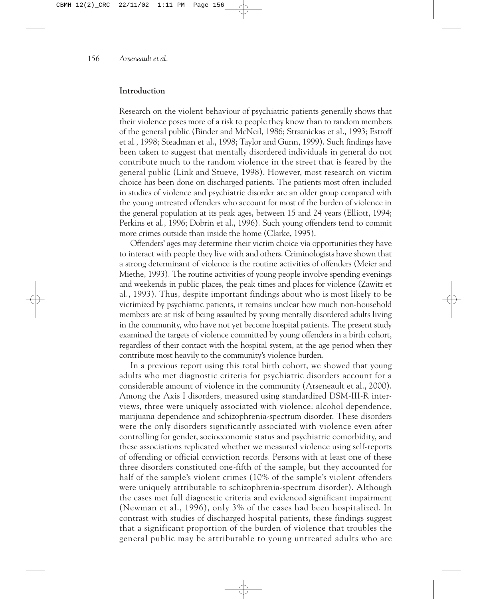### **Introduction**

Research on the violent behaviour of psychiatric patients generally shows that their violence poses more of a risk to people they know than to random members of the general public (Binder and McNeil, 1986; Straznickas et al., 1993; Estroff et al., 1998; Steadman et al., 1998; Taylor and Gunn, 1999). Such findings have been taken to suggest that mentally disordered individuals in general do not contribute much to the random violence in the street that is feared by the general public (Link and Stueve, 1998). However, most research on victim choice has been done on discharged patients. The patients most often included in studies of violence and psychiatric disorder are an older group compared with the young untreated offenders who account for most of the burden of violence in the general population at its peak ages, between 15 and 24 years (Elliott, 1994; Perkins et al., 1996; Dobrin et al., 1996). Such young offenders tend to commit more crimes outside than inside the home (Clarke, 1995).

Offenders' ages may determine their victim choice via opportunities they have to interact with people they live with and others. Criminologists have shown that a strong determinant of violence is the routine activities of offenders (Meier and Miethe, 1993). The routine activities of young people involve spending evenings and weekends in public places, the peak times and places for violence (Zawitz et al., 1993). Thus, despite important findings about who is most likely to be victimized by psychiatric patients, it remains unclear how much non-household members are at risk of being assaulted by young mentally disordered adults living in the community, who have not yet become hospital patients. The present study examined the targets of violence committed by young offenders in a birth cohort, regardless of their contact with the hospital system, at the age period when they contribute most heavily to the community's violence burden.

In a previous report using this total birth cohort, we showed that young adults who met diagnostic criteria for psychiatric disorders account for a considerable amount of violence in the community (Arseneault et al., 2000). Among the Axis I disorders, measured using standardized DSM-III-R interviews, three were uniquely associated with violence: alcohol dependence, marijuana dependence and schizophrenia-spectrum disorder. These disorders were the only disorders significantly associated with violence even after controlling for gender, socioeconomic status and psychiatric comorbidity, and these associations replicated whether we measured violence using self-reports of offending or official conviction records. Persons with at least one of these three disorders constituted one-fifth of the sample, but they accounted for half of the sample's violent crimes (10% of the sample's violent offenders were uniquely attributable to schizophrenia-spectrum disorder). Although the cases met full diagnostic criteria and evidenced significant impairment (Newman et al., 1996), only 3% of the cases had been hospitalized. In contrast with studies of discharged hospital patients, these findings suggest that a significant proportion of the burden of violence that troubles the general public may be attributable to young untreated adults who are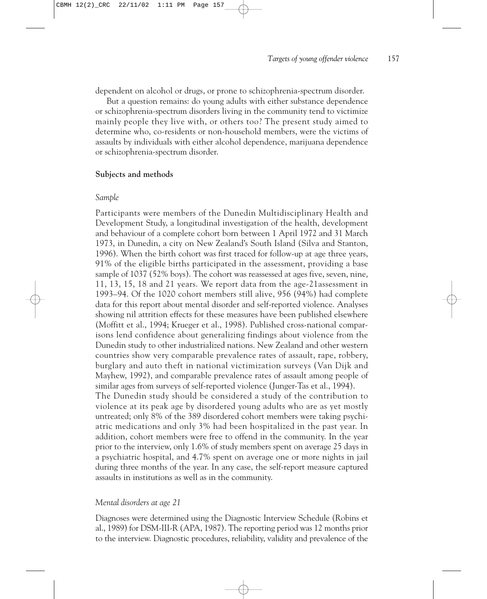dependent on alcohol or drugs, or prone to schizophrenia-spectrum disorder.

But a question remains: do young adults with either substance dependence or schizophrenia-spectrum disorders living in the community tend to victimize mainly people they live with, or others too? The present study aimed to determine who, co-residents or non-household members, were the victims of assaults by individuals with either alcohol dependence, marijuana dependence or schizophrenia-spectrum disorder.

### **Subjects and methods**

#### *Sample*

Participants were members of the Dunedin Multidisciplinary Health and Development Study, a longitudinal investigation of the health, development and behaviour of a complete cohort born between 1 April 1972 and 31 March 1973, in Dunedin, a city on New Zealand's South Island (Silva and Stanton, 1996). When the birth cohort was first traced for follow-up at age three years, 91% of the eligible births participated in the assessment, providing a base sample of 1037 (52% boys). The cohort was reassessed at ages five, seven, nine, 11, 13, 15, 18 and 21 years. We report data from the age-21assessment in 1993–94. Of the 1020 cohort members still alive, 956 (94%) had complete data for this report about mental disorder and self-reported violence. Analyses showing nil attrition effects for these measures have been published elsewhere (Moffitt et al., 1994; Krueger et al., 1998). Published cross-national comparisons lend confidence about generalizing findings about violence from the Dunedin study to other industrialized nations. New Zealand and other western countries show very comparable prevalence rates of assault, rape, robbery, burglary and auto theft in national victimization surveys (Van Dijk and Mayhew, 1992), and comparable prevalence rates of assault among people of similar ages from surveys of self-reported violence (Junger-Tas et al., 1994). The Dunedin study should be considered a study of the contribution to

violence at its peak age by disordered young adults who are as yet mostly untreated; only 8% of the 389 disordered cohort members were taking psychiatric medications and only 3% had been hospitalized in the past year. In addition, cohort members were free to offend in the community. In the year prior to the interview, only 1.6% of study members spent on average 25 days in a psychiatric hospital, and 4.7% spent on average one or more nights in jail during three months of the year. In any case, the self-report measure captured assaults in institutions as well as in the community.

#### *Mental disorders at age 21*

Diagnoses were determined using the Diagnostic Interview Schedule (Robins et al., 1989) for DSM-III-R (APA, 1987). The reporting period was 12 months prior to the interview. Diagnostic procedures, reliability, validity and prevalence of the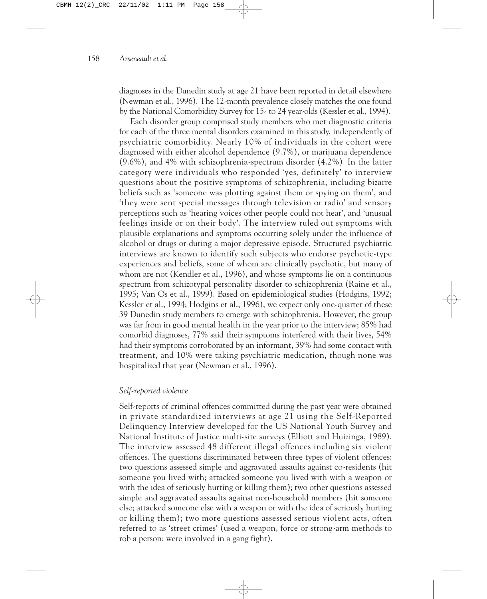diagnoses in the Dunedin study at age 21 have been reported in detail elsewhere (Newman et al., 1996). The 12-month prevalence closely matches the one found by the National Comorbidity Survey for 15- to 24 year-olds (Kessler et al., 1994).

Each disorder group comprised study members who met diagnostic criteria for each of the three mental disorders examined in this study, independently of psychiatric comorbidity. Nearly 10% of individuals in the cohort were diagnosed with either alcohol dependence (9.7%), or marijuana dependence (9.6%), and 4% with schizophrenia-spectrum disorder (4.2%). In the latter category were individuals who responded 'yes, definitely' to interview questions about the positive symptoms of schizophrenia, including bizarre beliefs such as 'someone was plotting against them or spying on them', and 'they were sent special messages through television or radio' and sensory perceptions such as 'hearing voices other people could not hear', and 'unusual feelings inside or on their body'. The interview ruled out symptoms with plausible explanations and symptoms occurring solely under the influence of alcohol or drugs or during a major depressive episode. Structured psychiatric interviews are known to identify such subjects who endorse psychotic-type experiences and beliefs, some of whom are clinically psychotic, but many of whom are not (Kendler et al., 1996), and whose symptoms lie on a continuous spectrum from schizotypal personality disorder to schizophrenia (Raine et al., 1995; Van Os et al., 1999). Based on epidemiological studies (Hodgins, 1992; Kessler et al., 1994; Hodgins et al., 1996), we expect only one-quarter of these 39 Dunedin study members to emerge with schizophrenia. However, the group was far from in good mental health in the year prior to the interview; 85% had comorbid diagnoses, 77% said their symptoms interfered with their lives, 54% had their symptoms corroborated by an informant, 39% had some contact with treatment, and 10% were taking psychiatric medication, though none was hospitalized that year (Newman et al., 1996).

### *Self-reported violence*

Self-reports of criminal offences committed during the past year were obtained in private standardized interviews at age 21 using the Self-Reported Delinquency Interview developed for the US National Youth Survey and National Institute of Justice multi-site surveys (Elliott and Huizinga, 1989). The interview assessed 48 different illegal offences including six violent offences. The questions discriminated between three types of violent offences: two questions assessed simple and aggravated assaults against co-residents (hit someone you lived with; attacked someone you lived with with a weapon or with the idea of seriously hurting or killing them); two other questions assessed simple and aggravated assaults against non-household members (hit someone else; attacked someone else with a weapon or with the idea of seriously hurting or killing them); two more questions assessed serious violent acts, often referred to as 'street crimes' (used a weapon, force or strong-arm methods to rob a person; were involved in a gang fight).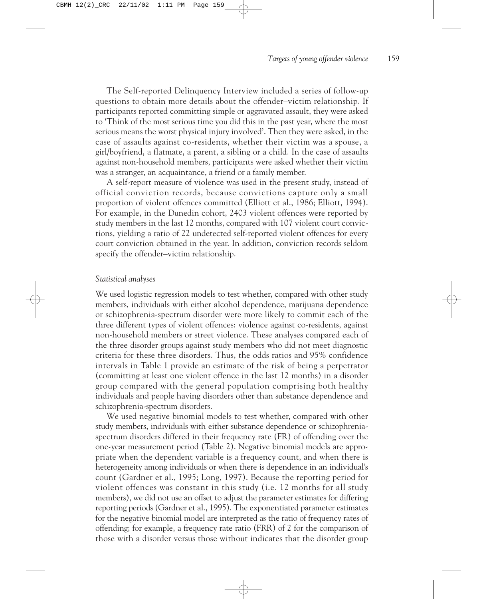The Self-reported Delinquency Interview included a series of follow-up questions to obtain more details about the offender–victim relationship. If participants reported committing simple or aggravated assault, they were asked to 'Think of the most serious time you did this in the past year, where the most serious means the worst physical injury involved'. Then they were asked, in the case of assaults against co-residents, whether their victim was a spouse, a girl/boyfriend, a flatmate, a parent, a sibling or a child. In the case of assaults against non-household members, participants were asked whether their victim was a stranger, an acquaintance, a friend or a family member.

A self-report measure of violence was used in the present study, instead of official conviction records, because convictions capture only a small proportion of violent offences committed (Elliott et al., 1986; Elliott, 1994). For example, in the Dunedin cohort, 2403 violent offences were reported by study members in the last 12 months, compared with 107 violent court convictions, yielding a ratio of 22 undetected self-reported violent offences for every court conviction obtained in the year. In addition, conviction records seldom specify the offender–victim relationship.

#### *Statistical analyses*

We used logistic regression models to test whether, compared with other study members, individuals with either alcohol dependence, marijuana dependence or schizophrenia-spectrum disorder were more likely to commit each of the three different types of violent offences: violence against co-residents, against non-household members or street violence. These analyses compared each of the three disorder groups against study members who did not meet diagnostic criteria for these three disorders. Thus, the odds ratios and 95% confidence intervals in Table 1 provide an estimate of the risk of being a perpetrator (committing at least one violent offence in the last 12 months) in a disorder group compared with the general population comprising both healthy individuals and people having disorders other than substance dependence and schizophrenia-spectrum disorders.

We used negative binomial models to test whether, compared with other study members, individuals with either substance dependence or schizophreniaspectrum disorders differed in their frequency rate (FR) of offending over the one-year measurement period (Table 2). Negative binomial models are appropriate when the dependent variable is a frequency count, and when there is heterogeneity among individuals or when there is dependence in an individual's count (Gardner et al., 1995; Long, 1997). Because the reporting period for violent offences was constant in this study (i.e. 12 months for all study members), we did not use an offset to adjust the parameter estimates for differing reporting periods (Gardner et al., 1995). The exponentiated parameter estimates for the negative binomial model are interpreted as the ratio of frequency rates of offending; for example, a frequency rate ratio (FRR) of 2 for the comparison of those with a disorder versus those without indicates that the disorder group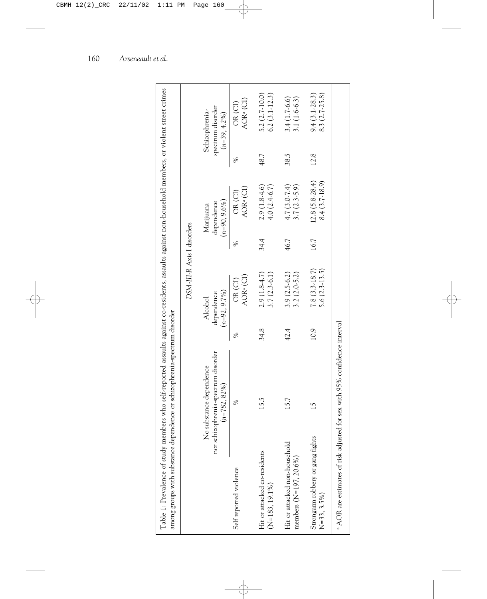|                                                         | Table 1: Prevalence of study members who self-reported assaults against co-residents, assaults against non-household members, or violent street crimes<br>among groups with substance dependence or schizophrenia-spectrum disorder |      |                                          |      |                                            |      |                                                        |
|---------------------------------------------------------|-------------------------------------------------------------------------------------------------------------------------------------------------------------------------------------------------------------------------------------|------|------------------------------------------|------|--------------------------------------------|------|--------------------------------------------------------|
|                                                         |                                                                                                                                                                                                                                     |      | DSM-III-R Axis I disorders               |      |                                            |      |                                                        |
|                                                         | nor schizophrenia-spectrum disorder<br>No substance dependence<br>$(n=782, 82\%)$                                                                                                                                                   |      | $(n=92, 9.7\%)$<br>dependence<br>Alcohol |      | $(n=90, 9.6\%)$<br>dependence<br>Marijuana |      | spectrum disorder<br>Schizophrenia-<br>$(n=39, 4.2\%)$ |
| Self reported violence                                  | ℅                                                                                                                                                                                                                                   | $\%$ | AORª (CI)<br>OR (CI)                     | ℅    | AORª (CI)<br>OR (CI)                       | %    | AOR <sup>a</sup> (CI)<br>OR(CI)                        |
| Hit or attacked co-residents<br>$(N=183, 19.1\%)$       | 15.5                                                                                                                                                                                                                                | 34.8 | 2.9 (1.8-4.7)<br>$3.7(2.3-6.1)$          | 34.4 | 2.9 (1.8-4.6)<br>$4.0(2.4-6.7)$            | 48.7 | 5.2 (2.7-10.0)<br>$6.2(3.1-12.3)$                      |
| Hit or attacked non-household<br>members (N=197, 20.6%) | 15.7                                                                                                                                                                                                                                | 42.4 | $3.9(2.5-6.2)$<br>$3.2(2.0-5.2)$         | 46.7 | 4.7 (3.0-7.4)<br>$3.7(2.3-5.9)$            | 38.5 | 3.4 (1.7-6.6)<br>3.1 (1.6-6.3)                         |
| Strongarm robbery or gang fights<br>$N=33, 3.5\%$       |                                                                                                                                                                                                                                     | 10.9 | 7.8(3.3.18.7)<br>$5.6(2.3-13.5)$         | 16.7 | (2.8(5.8.28.4))<br>$8.4(3.7-18.9)$         | 12.8 | $9.4(3.1 - 28.3)$<br>8.3 (2.7-25.8)                    |
|                                                         | a AOR are estimates of risk adjusted for sex with 95% confidence interval                                                                                                                                                           |      |                                          |      |                                            |      |                                                        |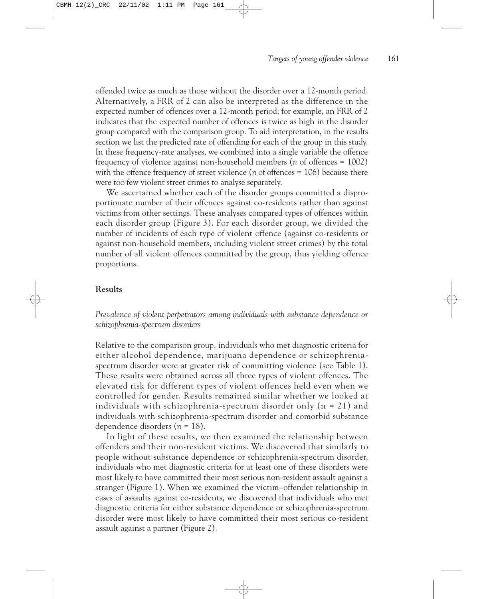offended twice as much as those without the disorder over a 12-month period. Alternatively, a FRR of 2 can also be interpreted as the difference in the expected number of offences over a 12-month period; for example, an FRR of 2 indicates that the expected number of offences is twice as high in the disorder group compared with the comparison group. To aid interpretation, in the results section we list the predicted rate of offending for each of the group in this study. In these frequency-rate analyses, we combined into a single variable the offence frequency of violence against non-household members (*n* of offences = 1002) with the offence frequency of street violence (*n* of offences = 106) because there were too few violent street crimes to analyse separately.

We ascertained whether each of the disorder groups committed a disproportionate number of their offences against co-residents rather than against victims from other settings. These analyses compared types of offences within each disorder group (Figure 3). For each disorder group, we divided the number of incidents of each type of violent offence (against co-residents or against non-household members, including violent street crimes) by the total number of all violent offences committed by the group, thus yielding offence proportions.

## **Results**

*Prevalence of violent perpetrators among individuals with substance dependence or schizophrenia-spectrum disorders* 

Relative to the comparison group, individuals who met diagnostic criteria for either alcohol dependence, marijuana dependence or schizophreniaspectrum disorder were at greater risk of committing violence (see Table 1). These results were obtained across all three types of violent offences. The elevated risk for different types of violent offences held even when we controlled for gender. Results remained similar whether we looked at individuals with schizophrenia-spectrum disorder only  $(n = 21)$  and individuals with schizophrenia-spectrum disorder and comorbid substance dependence disorders (*n* = 18).

In light of these results, we then examined the relationship between offenders and their non-resident victims. We discovered that similarly to people without substance dependence or schizophrenia-spectrum disorder, individuals who met diagnostic criteria for at least one of these disorders were most likely to have committed their most serious non-resident assault against a stranger (Figure 1). When we examined the victim–offender relationship in cases of assaults against co-residents, we discovered that individuals who met diagnostic criteria for either substance dependence or schizophrenia-spectrum disorder were most likely to have committed their most serious co-resident assault against a partner (Figure 2).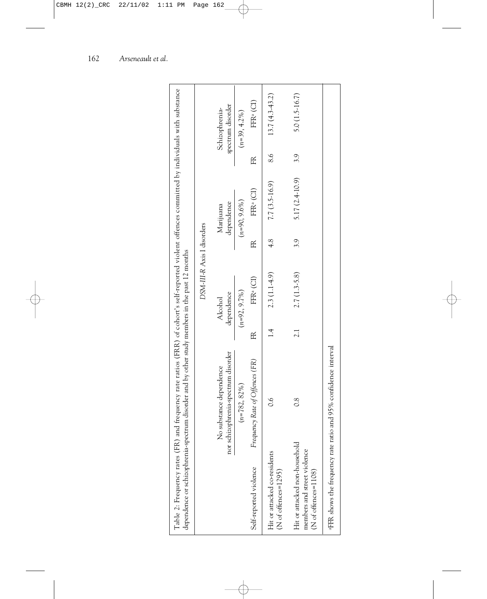| Table 2: Frequency rates (FR) a                                                       | and frequency rate ratios (FRR) of cohort's self-reported violent offences committed by individuals with substance<br>dependence or schizophrenia-spectrum disorder and by other study members in the past 12 months |           |                            |     |                         |     |                                     |
|---------------------------------------------------------------------------------------|----------------------------------------------------------------------------------------------------------------------------------------------------------------------------------------------------------------------|-----------|----------------------------|-----|-------------------------|-----|-------------------------------------|
|                                                                                       |                                                                                                                                                                                                                      |           | DSM-III-R Axis I disorders |     |                         |     |                                     |
|                                                                                       | nor schizophrenia-spectrum disorder<br>lo substance dependence                                                                                                                                                       |           | dependence<br>Alcohol      |     | dependence<br>Marijuana |     | spectrum disorder<br>Schizophrenia- |
|                                                                                       | $(n=782, 82\%)$                                                                                                                                                                                                      |           | $(n=92, 9.7\%)$            |     | $(n=90, 9.6\%)$         |     | $(n=39, 4.2\%)$                     |
| Self-reported violence                                                                | Frequency Rate of Offences (FR)                                                                                                                                                                                      | Æ         | FFR <sup>a</sup> (CI)      | Æ   | FFR <sup>a</sup> (CI)   | Æ   | FFR <sup>a</sup> (CI)               |
| Hit or attacked co-residents<br>$(N of ofences=1295)$                                 | $\frac{6}{2}$                                                                                                                                                                                                        | $\vec{4}$ | 2.3 (1.1-4.9)              | 4.8 | 7.7(3.5.16.9)           | 8.6 | 13.7(4.3.43.2)                      |
| Hit or attacked non-household<br>members and street violence<br>$(N of ofences=1108)$ | $\frac{8}{2}$                                                                                                                                                                                                        | 2.1       | $2.7(1.3-5.8)$             | 3.9 | 5.17 (2.4-10.9)         | 3.9 | 5.0 (1.5-16.7)                      |
|                                                                                       | <sup>a</sup> FFR shows the frequency rate ratio and 95% confidence interval                                                                                                                                          |           |                            |     |                         |     |                                     |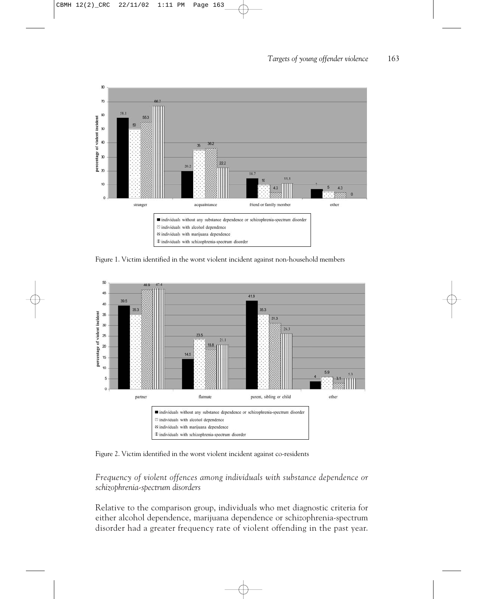

Figure 1. Victim identified in the worst violent incident against non-household members



Figure 2. Victim identified in the worst violent incident against co-residents

*Frequency of violent offences among individuals with substance dependence or schizophrenia-spectrum disorders*

Relative to the comparison group, individuals who met diagnostic criteria for either alcohol dependence, marijuana dependence or schizophrenia-spectrum disorder had a greater frequency rate of violent offending in the past year.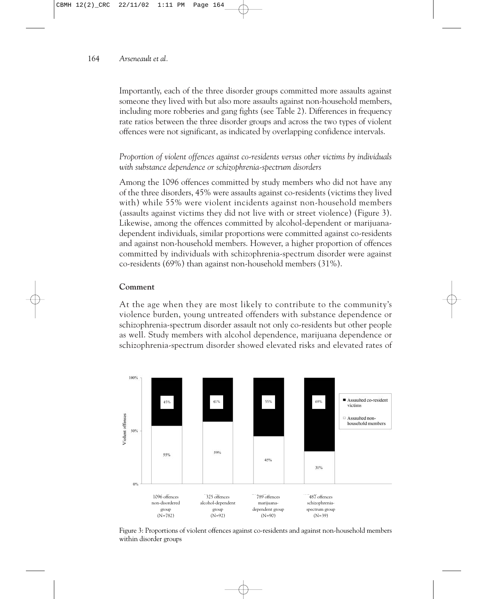Importantly, each of the three disorder groups committed more assaults against someone they lived with but also more assaults against non-household members, including more robberies and gang fights (see Table 2). Differences in frequency rate ratios between the three disorder groups and across the two types of violent offences were not significant, as indicated by overlapping confidence intervals.

*Proportion of violent offences against co-residents versus other victims by individuals with substance dependence or schizophrenia-spectrum disorders*

Among the 1096 offences committed by study members who did not have any of the three disorders, 45% were assaults against co-residents (victims they lived with) while 55% were violent incidents against non-household members (assaults against victims they did not live with or street violence) (Figure 3). Likewise, among the offences committed by alcohol-dependent or marijuanadependent individuals, similar proportions were committed against co-residents and against non-household members. However, a higher proportion of offences committed by individuals with schizophrenia-spectrum disorder were against co-residents (69%) than against non-household members (31%).

# **Comment**

At the age when they are most likely to contribute to the community's violence burden, young untreated offenders with substance dependence or schizophrenia-spectrum disorder assault not only co-residents but other people as well. Study members with alcohol dependence, marijuana dependence or schizophrenia-spectrum disorder showed elevated risks and elevated rates of



Figure 3: Proportions of violent offences against co-residents and against non-household members within disorder groups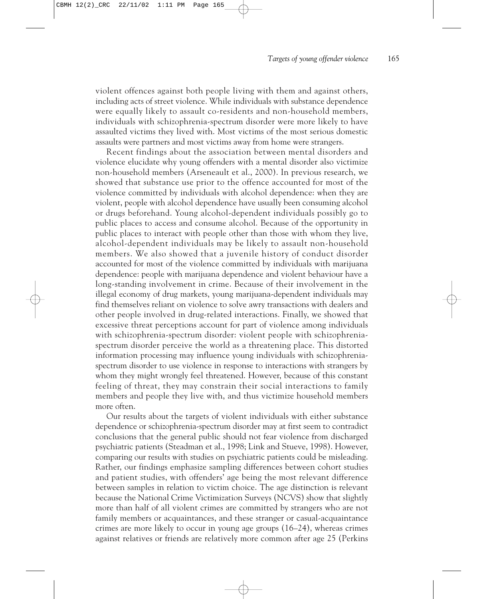violent offences against both people living with them and against others, including acts of street violence. While individuals with substance dependence were equally likely to assault co-residents and non-household members, individuals with schizophrenia-spectrum disorder were more likely to have assaulted victims they lived with. Most victims of the most serious domestic assaults were partners and most victims away from home were strangers.

Recent findings about the association between mental disorders and violence elucidate why young offenders with a mental disorder also victimize non-household members (Arseneault et al., 2000). In previous research, we showed that substance use prior to the offence accounted for most of the violence committed by individuals with alcohol dependence: when they are violent, people with alcohol dependence have usually been consuming alcohol or drugs beforehand. Young alcohol-dependent individuals possibly go to public places to access and consume alcohol. Because of the opportunity in public places to interact with people other than those with whom they live, alcohol-dependent individuals may be likely to assault non-household members. We also showed that a juvenile history of conduct disorder accounted for most of the violence committed by individuals with marijuana dependence: people with marijuana dependence and violent behaviour have a long-standing involvement in crime. Because of their involvement in the illegal economy of drug markets, young marijuana-dependent individuals may find themselves reliant on violence to solve awry transactions with dealers and other people involved in drug-related interactions. Finally, we showed that excessive threat perceptions account for part of violence among individuals with schizophrenia-spectrum disorder: violent people with schizophreniaspectrum disorder perceive the world as a threatening place. This distorted information processing may influence young individuals with schizophreniaspectrum disorder to use violence in response to interactions with strangers by whom they might wrongly feel threatened. However, because of this constant feeling of threat, they may constrain their social interactions to family members and people they live with, and thus victimize household members more often.

Our results about the targets of violent individuals with either substance dependence or schizophrenia-spectrum disorder may at first seem to contradict conclusions that the general public should not fear violence from discharged psychiatric patients (Steadman et al., 1998; Link and Stueve, 1998). However, comparing our results with studies on psychiatric patients could be misleading. Rather, our findings emphasize sampling differences between cohort studies and patient studies, with offenders' age being the most relevant difference between samples in relation to victim choice. The age distinction is relevant because the National Crime Victimization Surveys (NCVS) show that slightly more than half of all violent crimes are committed by strangers who are not family members or acquaintances, and these stranger or casual-acquaintance crimes are more likely to occur in young age groups (16–24), whereas crimes against relatives or friends are relatively more common after age 25 (Perkins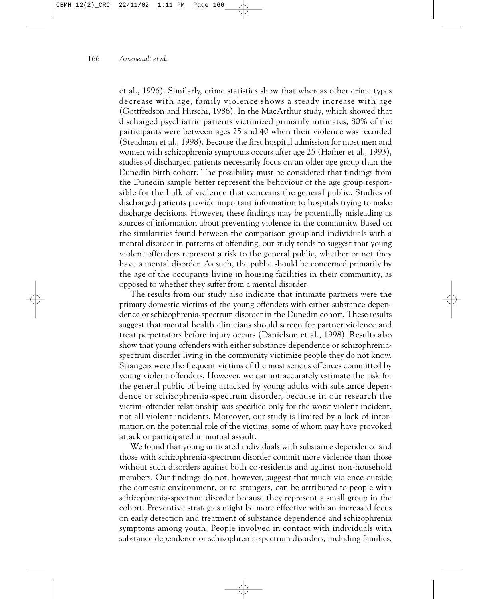et al., 1996). Similarly, crime statistics show that whereas other crime types decrease with age, family violence shows a steady increase with age (Gottfredson and Hirschi, 1986). In the MacArthur study, which showed that discharged psychiatric patients victimized primarily intimates, 80% of the participants were between ages 25 and 40 when their violence was recorded (Steadman et al., 1998). Because the first hospital admission for most men and women with schizophrenia symptoms occurs after age 25 (Hafner et al., 1993), studies of discharged patients necessarily focus on an older age group than the Dunedin birth cohort. The possibility must be considered that findings from the Dunedin sample better represent the behaviour of the age group responsible for the bulk of violence that concerns the general public. Studies of discharged patients provide important information to hospitals trying to make discharge decisions. However, these findings may be potentially misleading as sources of information about preventing violence in the community. Based on the similarities found between the comparison group and individuals with a mental disorder in patterns of offending, our study tends to suggest that young violent offenders represent a risk to the general public, whether or not they have a mental disorder. As such, the public should be concerned primarily by the age of the occupants living in housing facilities in their community, as opposed to whether they suffer from a mental disorder.

The results from our study also indicate that intimate partners were the primary domestic victims of the young offenders with either substance dependence or schizophrenia-spectrum disorder in the Dunedin cohort. These results suggest that mental health clinicians should screen for partner violence and treat perpetrators before injury occurs (Danielson et al., 1998). Results also show that young offenders with either substance dependence or schizophreniaspectrum disorder living in the community victimize people they do not know. Strangers were the frequent victims of the most serious offences committed by young violent offenders. However, we cannot accurately estimate the risk for the general public of being attacked by young adults with substance dependence or schizophrenia-spectrum disorder, because in our research the victim–offender relationship was specified only for the worst violent incident, not all violent incidents. Moreover, our study is limited by a lack of information on the potential role of the victims, some of whom may have provoked attack or participated in mutual assault.

We found that young untreated individuals with substance dependence and those with schizophrenia-spectrum disorder commit more violence than those without such disorders against both co-residents and against non-household members. Our findings do not, however, suggest that much violence outside the domestic environment, or to strangers, can be attributed to people with schizophrenia-spectrum disorder because they represent a small group in the cohort. Preventive strategies might be more effective with an increased focus on early detection and treatment of substance dependence and schizophrenia symptoms among youth. People involved in contact with individuals with substance dependence or schizophrenia-spectrum disorders, including families,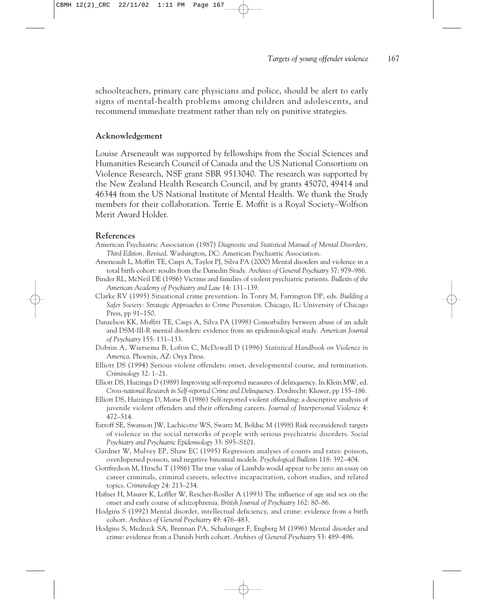schoolteachers, primary care physicians and police, should be alert to early signs of mental-health problems among children and adolescents, and recommend immediate treatment rather than rely on punitive strategies.

## **Acknowledgement**

Louise Arseneault was supported by fellowships from the Social Sciences and Humanities Research Council of Canada and the US National Consortium on Violence Research, NSF grant SBR 9513040. The research was supported by the New Zealand Health Research Council, and by grants 45070, 49414 and 46344 from the US National Institute of Mental Health. We thank the Study members for their collaboration. Terrie E. Moffit is a Royal Society–Wolfson Merit Award Holder.

## **References**

- American Psychiatric Association (1987) *Diagnostic and Statistical Manual of Mental Disorders, Third Edition, Revised*. Washington, DC: American Psychiatric Association.
- Arseneault L, Moffitt TE, Caspi A, Taylor PJ, Silva PA (2000) Mental disorders and violence in a total birth cohort: results from the Dunedin Study. *Archives of General Psychiatry* 57: 979–986.
- Binder RL, McNeil DE (1986) Victims and families of violent psychiatric patients. *Bulletin of the American Academy of Psychiatry and Law* 14: 131–139.
- Clarke RV (1995) Situational crime prevention. In Tonry M, Farrington DP, eds. *Building a Safer Society: Strategic Approaches to Crime Prevention*. Chicago, IL: University of Chicago Press, pp 91–150.
- Danielson KK, Moffitt TE, Caspi A, Silva PA (1998) Comorbidity between abuse of an adult and DSM-III-R mental disorders: evidence from an epidemiological study. *American Journal of Psychiatry* 155: 131–133.
- Dobrin A, Wiersema B, Loftin C, McDowall D (1996) *Statistical Handbook on Violence in America*. Phoenix, AZ: Oryx Press.
- Elliott DS (1994) Serious violent offenders: onset, developmental course, and termination. *Criminology* 32: 1–21.
- Elliott DS, Huizinga D (1989) Improving self-reported measures of delinquency. In Klein MW, ed. *Cross-national Research in Self-reported Crime and Delinquency*. Dordrecht: Kluwer, pp 155–186.
- Elliott DS, Huizinga D, Morse B (1986) Self-reported violent offending: a descriptive analysis of juvenile violent offenders and their offending careers. *Journal of Interpersonal Violence* 4: 472–514.
- Estroff SE, Swanson JW, Lachicotte WS, Swartz M, Bolduc M (1998) Risk reconsidered: targets of violence in the social networks of people with serious psychiatric disorders. *Social Psychiatry and Psychiatric Epidemiology* 33: S95–S101.
- Gardner W, Mulvey EP, Shaw EC (1995) Regression analyses of counts and rates: poisson, overdispersed poisson, and negative binomial models. *Psychological Bulletin* 118: 392–404.
- Gottfredson M, Hirschi T (1986) The true value of Lambda would appear to be zero: an essay on career criminals, criminal careers, selective incapacitation, cohort studies, and related topics. *Criminology* 24: 213–234.
- Hafner H, Maurer K, Loffler W, Reicher-Rosller A (1993) The influence of age and sex on the onset and early course of schizophrenia. *British Journal of Psychiatry* 162: 80–86.
- Hodgins S (1992) Mental disorder, intellectual deficiency, and crime: evidence from a birth cohort. *Archives of General Psychiatry* 49: 476–483.
- Hodgins S, Mednick SA, Brennan PA, Schulsinger F, Engberg M (1996) Mental disorder and crime: evidence from a Danish birth cohort. *Archives of General Psychiatry* 53: 489–496.